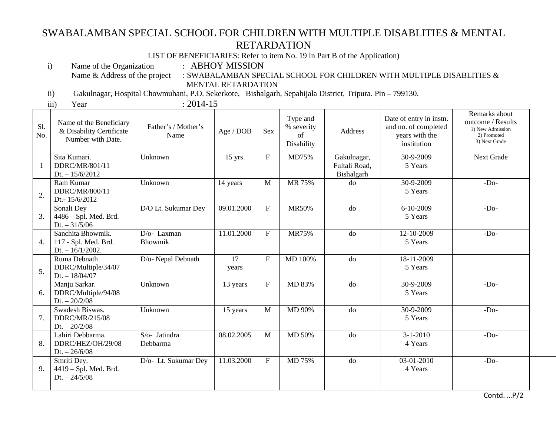## SWABALAMBAN SPECIAL SCHOOL FOR CHILDREN WITH MULTIPLE DISABLITIES & MENTAL RETARDATION

LIST OF BENEFICIARIES: Refer to item No. 19 in Part B of the Application)

Name of the Organization : ABHOY MISSION<br>Name & Address of the project : SWABALAMBAN SPE

Name & Address of the project  $\;\;:$  SWABALAMBAN SPECIAL SCHOOL FOR CHILDREN WITH MULTIPLE DISABLITIES  $\&$ MENTAL RETARDATION

ii) Gakulnagar, Hospital Chowmuhani, P.O. Sekerkote, Bishalgarh, Sepahijala District, Tripura. Pin – 799130.

i)

iii)

Year : 2014-15

| Sl.<br>No. | Name of the Beneficiary<br>& Disability Certificate<br>Number with Date. | Father's / Mother's<br>Name        | Age / DOB   | <b>Sex</b>   | Type and<br>% severity<br>of<br>Disability | Address                                    | Date of entry in instn.<br>and no. of completed<br>years with the<br>institution | Remarks about<br>outcome / Results<br>1) New Admission<br>2) Promoted<br>3) Next Grade |
|------------|--------------------------------------------------------------------------|------------------------------------|-------------|--------------|--------------------------------------------|--------------------------------------------|----------------------------------------------------------------------------------|----------------------------------------------------------------------------------------|
| -1         | Sita Kumari.<br>DDRC/MR/801/11<br>$Dt. - 15/6/2012$                      | Unknown                            | 15 yrs.     | ${\bf F}$    | MD75%                                      | Gakulnagar,<br>Fultali Road,<br>Bishalgarh | 30-9-2009<br>5 Years                                                             | <b>Next Grade</b>                                                                      |
| 2.         | Ram Kumar<br>DDRC/MR/800/11<br>Dt.-15/6/2012                             | Unknown                            | 14 years    | M            | MR 75%                                     | do                                         | 30-9-2009<br>5 Years                                                             | $-Do-$                                                                                 |
| 3.         | Sonali Dey<br>4486 - Spl. Med. Brd.<br>$Dt. - 31/5/06$                   | D/O Lt. Sukumar Dey                | 09.01.2000  | ${\bf F}$    | MR50%                                      | do                                         | 6-10-2009<br>5 Years                                                             | $-DO$                                                                                  |
| 4.         | Sanchita Bhowmik.<br>117 - Spl. Med. Brd.<br>Dt. $-16/1/2002$ .          | D/o-Laxman<br><b>Bhowmik</b>       | 11.01.2000  | ${\bf F}$    | <b>MR75%</b>                               | do                                         | 12-10-2009<br>5 Years                                                            | $-Do-$                                                                                 |
| 5.         | Ruma Debnath<br>DDRC/Multiple/34/07<br>$Dt. - 18/04/07$                  | D/o- Nepal Debnath                 | 17<br>years | ${\bf F}$    | MD 100%                                    | do                                         | 18-11-2009<br>5 Years                                                            |                                                                                        |
| 6.         | Manju Sarkar.<br>DDRC/Multiple/94/08<br>$Dt. - 20/2/08$                  | Unknown                            | 13 years    | $\mathbf{F}$ | MD 83%                                     | do                                         | 30-9-2009<br>5 Years                                                             | $-DO$                                                                                  |
| 7.         | Swadesh Biswas.<br>DDRC/MR/215/08<br>$Dt. - 20/2/08$                     | Unknown                            | 15 years    | $\mathbf{M}$ | MD 90%                                     | do                                         | 30-9-2009<br>5 Years                                                             | $-Do-$                                                                                 |
| 8.         | Lahiri Debbarma.<br>DDRC/HEZ/OH/29/08<br>Dt. $-26/6/08$                  | S/o- Jatindra<br>Debbarma          | 08.02.2005  | M            | MD 50%                                     | do                                         | $3-1-2010$<br>4 Years                                                            | $-D0$                                                                                  |
| 9.         | Smriti Dey.<br>4419 - Spl. Med. Brd.<br>$Dt. - 24/5/08$                  | $\overline{D}/o$ - Lt. Sukumar Dey | 11.03.2000  | ${\bf F}$    | MD 75%                                     | do                                         | 03-01-2010<br>4 Years                                                            | $-Do-$                                                                                 |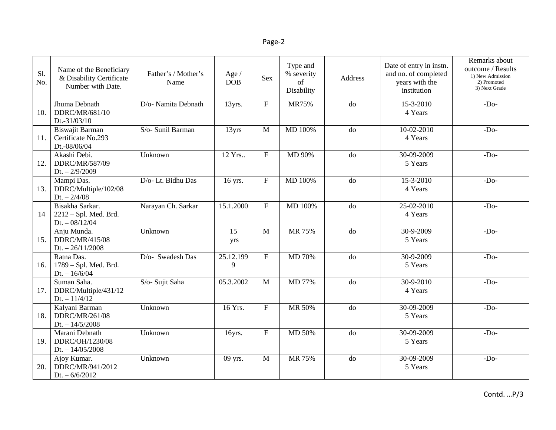| Sl.<br>No. | Name of the Beneficiary<br>& Disability Certificate<br>Number with Date. | Father's / Mother's<br>Name | Age /<br><b>DOB</b> | <b>Sex</b>                | Type and<br>% severity<br>of<br>Disability | Address        | Date of entry in instn.<br>and no. of completed<br>years with the<br>institution | Remarks about<br>outcome / Results<br>1) New Admission<br>2) Promoted<br>3) Next Grade |
|------------|--------------------------------------------------------------------------|-----------------------------|---------------------|---------------------------|--------------------------------------------|----------------|----------------------------------------------------------------------------------|----------------------------------------------------------------------------------------|
| 10.        | Jhuma Debnath<br>DDRC/MR/681/10<br>Dt.-31/03/10                          | D/o- Namita Debnath         | 13yrs.              | ${\bf F}$                 | <b>MR75%</b>                               | $\overline{d}$ | $15 - 3 - 2010$<br>4 Years                                                       | $-Do-$                                                                                 |
| 11.        | Biswajit Barman<br>Certificate No.293<br>Dt.-08/06/04                    | S/o- Sunil Barman           | 13yrs               | M                         | MD 100%                                    | do             | $10 - 02 - 2010$<br>4 Years                                                      | $-Do-$                                                                                 |
| 12.        | Akashi Debi.<br>DDRC/MR/587/09<br>$Dt. - 2/9/2009$                       | Unknown                     | 12 Yrs              | $\mathbf{F}$              | MD 90%                                     | do             | 30-09-2009<br>5 Years                                                            | $-Do-$                                                                                 |
| 13.        | Mampi Das.<br>DDRC/Multiple/102/08<br>Dt. $-2/4/08$                      | D/o-Lt. Bidhu Das           | 16 yrs.             | $\boldsymbol{\mathrm{F}}$ | MD 100%                                    | do             | 15-3-2010<br>4 Years                                                             | $-Do-$                                                                                 |
| 14         | Bisakha Sarkar.<br>$2212 - Spl. Med. Brd.$<br>$Dt. - 08/12/04$           | Narayan Ch. Sarkar          | 15.1.2000           | $\mathbf F$               | MD 100%                                    | $\overline{d}$ | $25 - 02 - 2010$<br>4 Years                                                      | $-Do-$                                                                                 |
| 15.        | Anju Munda.<br>DDRC/MR/415/08<br>Dt. $-26/11/2008$                       | Unknown                     | 15<br>yrs           | $\mathbf{M}$              | MR 75%                                     | do             | 30-9-2009<br>5 Years                                                             | $-Do-$                                                                                 |
| 16.        | Ratna Das.<br>1789 - Spl. Med. Brd.<br>$Dt. - 16/6/04$                   | D/o- Swadesh Das            | 25.12.199<br>9      | $\mathbf{F}$              | MD 70%                                     | do             | 30-9-2009<br>5 Years                                                             | $-Do-$                                                                                 |
| 17.        | Suman Saha.<br>DDRC/Multiple/431/12<br>$Dt. - 11/4/12$                   | S/o- Sujit Saha             | 05.3.2002           | $\mathbf{M}$              | MD 77%                                     | do             | $30-9-2010$<br>4 Years                                                           | $-Do-$                                                                                 |
| 18.        | Kalyani Barman<br>DDRC/MR/261/08<br>$Dt. - 14/5/2008$                    | Unknown                     | 16 Yrs.             | $\mathbf{F}$              | MR 50%                                     | do             | 30-09-2009<br>5 Years                                                            | $-Do-$                                                                                 |
| 19.        | Marani Debnath<br>DDRC/OH/1230/08<br>Dt. $-14/05/2008$                   | Unknown                     | 16yrs.              | ${\bf F}$                 | MD 50%                                     | do             | 30-09-2009<br>5 Years                                                            | $-Do-$                                                                                 |
| 20.        | Ajoy Kumar.<br>DDRC/MR/941/2012<br>Dt. $-6/6/2012$                       | Unknown                     | 09 yrs.             | $\mathbf M$               | MR 75%                                     | do             | 30-09-2009<br>5 Years                                                            | $-Do-$                                                                                 |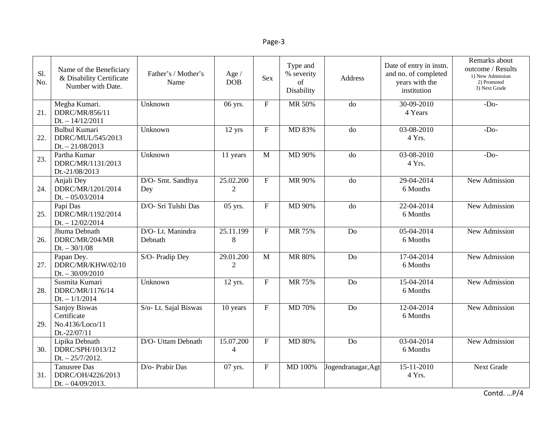| Sl.<br>No. | Name of the Beneficiary<br>& Disability Certificate<br>Number with Date. | Father's / Mother's<br>Name | Age /<br><b>DOB</b>         | Sex            | Type and<br>% severity<br>of<br>Disability | Address            | Date of entry in instn.<br>and no. of completed<br>years with the<br>institution | Remarks about<br>outcome / Results<br>1) New Admission<br>2) Promoted<br>3) Next Grade |
|------------|--------------------------------------------------------------------------|-----------------------------|-----------------------------|----------------|--------------------------------------------|--------------------|----------------------------------------------------------------------------------|----------------------------------------------------------------------------------------|
| 21.        | Megha Kumari.<br>DDRC/MR/856/11<br>$Dt. - 14/12/2011$                    | Unknown                     | 06 yrs.                     | $\overline{F}$ | MR 50%                                     | do                 | $30-09-2010$<br>4 Years                                                          | $-Do-$                                                                                 |
| 22.        | <b>Bulbul Kumari</b><br>DDRC/MUL/545/2013<br>$Dt. - 21/08/2013$          | Unknown                     | $12$ yrs                    | $\mathbf F$    | MD 83%                                     | do                 | $03-08-2010$<br>4 Yrs.                                                           | $-Do-$                                                                                 |
| 23.        | Partha Kumar<br>DDRC/MR/1131/2013<br>Dt.-21/08/2013                      | Unknown                     | 11 years                    | $\mathbf{M}$   | MD 90%                                     | do                 | 03-08-2010<br>4 Yrs.                                                             | $-Do-$                                                                                 |
| 24.        | Anjali Dey<br>DDRC/MR/1201/2014<br>$Dt. - 05/03/2014$                    | D/O- Smt. Sandhya<br>Dey    | 25.02.200<br>$\overline{2}$ | $\mathbf F$    | MR 90%                                     | do                 | 29-04-2014<br>6 Months                                                           | New Admission                                                                          |
| 25.        | Papi Das<br>DDRC/MR/1192/2014<br>$Dt. - 12/02/2014$                      | D/O- Sri Tulshi Das         | 05 yrs.                     | $\mathbf{F}$   | MD 90%                                     | do                 | 22-04-2014<br>6 Months                                                           | <b>New Admission</b>                                                                   |
| 26.        | Jhuma Debnath<br>DDRC/MR/204/MR<br>$Dt. - 30/1/08$                       | D/O-Lt. Manindra<br>Debnath | 25.11.199<br>8              | ${\bf F}$      | MR 75%                                     | Do                 | 05-04-2014<br>6 Months                                                           | New Admission                                                                          |
| 27.        | Papan Dey.<br>DDRC/MR/KHW/02/10<br>$Dt. - 30/09/2010$                    | S/O- Pradip Dey             | 29.01.200<br>$\overline{2}$ | $\mathbf{M}$   | MR 80%                                     | Do                 | 17-04-2014<br>6 Months                                                           | New Admission                                                                          |
| 28.        | Susmita Kumari<br>DDRC/MR/1176/14<br>$Dt. - 1/1/2014$                    | Unknown                     | $12$ yrs.                   | ${\bf F}$      | MR 75%                                     | Do                 | 15-04-2014<br>6 Months                                                           | New Admission                                                                          |
| 29.        | Sanjoy Biswas<br>Certificate<br>No.4136/Loco/11<br>Dt.-22/07/11          | S/o- Lt. Sajal Biswas       | 10 years                    | $\mathbf{F}$   | MD 70%                                     | Do                 | 12-04-2014<br>6 Months                                                           | New Admission                                                                          |
| 30.        | Lipika Debnath<br>DDRC/SPH/1013/12<br>$Dt. - 25/7/2012.$                 | D/O- Uttam Debnath          | 15.07.200<br>$\overline{4}$ | ${\bf F}$      | <b>MD 80%</b>                              | Do                 | 03-04-2014<br>6 Months                                                           | New Admission                                                                          |
| 31.        | <b>Tanusree Das</b><br>DDRC/OH/4226/2013<br>Dt. $-04/09/2013$ .          | D/o- Prabir Das             | 07 yrs.                     | $\mathbf F$    | MD 100%                                    | Jogendranagar, Agt | $15 - 11 - 2010$<br>4 Yrs.                                                       | Next Grade                                                                             |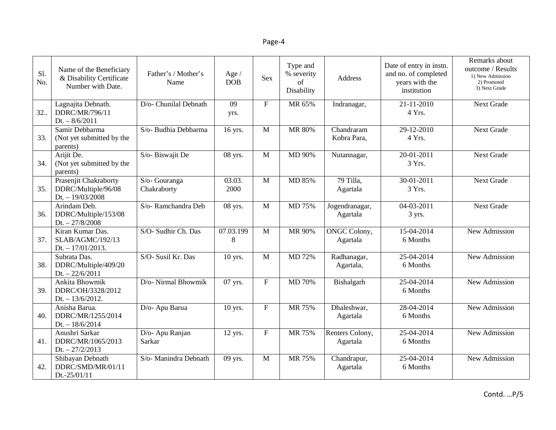| Sl.<br>No. | Name of the Beneficiary<br>& Disability Certificate<br>Number with Date. | Father's / Mother's<br>Name  | Age /<br><b>DOB</b> | <b>Sex</b>                | Type and<br>% severity<br>of<br>Disability | Address                         | Date of entry in instn.<br>and no. of completed<br>years with the<br>institution | Remarks about<br>outcome / Results<br>1) New Admission<br>2) Promoted<br>3) Next Grade |
|------------|--------------------------------------------------------------------------|------------------------------|---------------------|---------------------------|--------------------------------------------|---------------------------------|----------------------------------------------------------------------------------|----------------------------------------------------------------------------------------|
| 32.        | Lagnajita Debnath.<br>DDRC/MR/796/11<br>$Dt. - 8/6/2011$                 | D/o- Chunilal Debnath        | 09<br>yrs.          | $\mathbf{F}$              | MR 65%                                     | Indranagar,                     | 21-11-2010<br>4 Yrs.                                                             | <b>Next Grade</b>                                                                      |
| 33.        | Samir Debbarma<br>(Not yet submitted by the<br>parents)                  | S/o- Budhia Debbarma         | 16 yrs.             | M                         | MR 80%                                     | Chandraram<br>Kobra Para,       | 29-12-2010<br>4 Yrs.                                                             | Next Grade                                                                             |
| 34.        | Arijit De.<br>(Not yet submitted by the<br>parents)                      | S/o-Biswajit De              | 08 yrs.             | $\mathbf{M}$              | MD 90%                                     | Nutannagar,                     | 20-01-2011<br>3 Yrs.                                                             | <b>Next Grade</b>                                                                      |
| 35.        | Prasenjit Chakraborty<br>DDRC/Multiple/96/08<br>$Dt. - 19/03/2008$       | S/o- Gouranga<br>Chakraborty | 03.03.<br>2000      | M                         | MD 85%                                     | 79 Tilla,<br>Agartala           | 30-01-2011<br>3 Yrs.                                                             | <b>Next Grade</b>                                                                      |
| 36.        | Arindam Deb.<br>DDRC/Multiple/153/08<br>$Dt. - 27/8/2008$                | S/o-Ramchandra Deb           | 08 yrs.             | $\mathbf{M}$              | MD 75%                                     | Jogendranagar,<br>Agartala      | $04-03-2011$<br>3 yrs.                                                           | <b>Next Grade</b>                                                                      |
| 37.        | Kiran Kumar Das.<br>SLAB/AGMC/192/13<br>Dt. $-17/01/2013$ .              | S/O- Sudhir Ch. Das          | 07.03.199<br>8      | M                         | MR 90%                                     | <b>ONGC Colony,</b><br>Agartala | 15-04-2014<br>6 Months                                                           | New Admission                                                                          |
| 38.        | Subrata Das.<br>DDRC/Multiple/409/20<br>$Dt. - 22/6/2011$                | S/O- Susil Kr. Das           | 10 yrs.             | $\mathbf{M}$              | MD 72%                                     | Radhanagar,<br>Agartala,        | 25-04-2014<br>6 Months                                                           | New Admission                                                                          |
| 39.        | Ankita Bhowmik<br>DDRC/OH/3328/2012<br>$Dt. - 13/6/2012.$                | D/o- Nirmal Bhowmik          | 07 yrs.             | ${\bf F}$                 | <b>MD 70%</b>                              | Bishalgarh                      | 25-04-2014<br>6 Months                                                           | New Admission                                                                          |
| 40.        | Anisha Barua.<br>DDRC/MR/1255/2014<br>$Dt. - 18/6/2014$                  | D/o- Apu Barua               | 10 yrs.             | $\overline{F}$            | MR 75%                                     | Dhaleshwar,<br>Agartala         | 28-04-2014<br>6 Months                                                           | <b>New Admission</b>                                                                   |
| 41.        | Anushri Sarkar<br>DDRC/MR/1065/2013<br>$Dt. - 27/2/2013$                 | D/o- Apu Ranjan<br>Sarkar    | 12 yrs.             | $\boldsymbol{\mathrm{F}}$ | MR 75%                                     | Renters Colony,<br>Agartala     | 25-04-2014<br>6 Months                                                           | New Admission                                                                          |
| 42.        | Shibayan Debnath<br>DDRC/SMD/MR/01/11<br>Dt.-25/01/11                    | S/o- Manindra Debnath        | 09 yrs.             | M                         | MR 75%                                     | Chandrapur,<br>Agartala         | 25-04-2014<br>6 Months                                                           | New Admission                                                                          |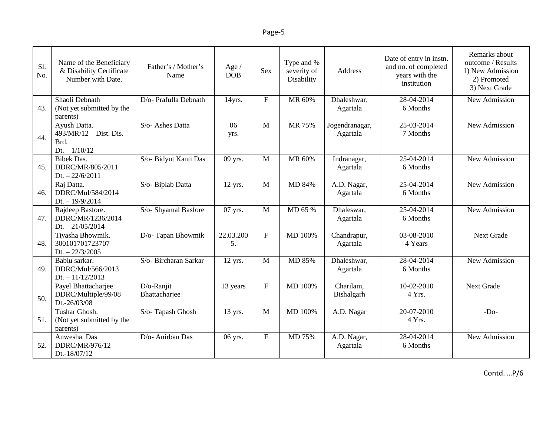| Sl.<br>No. | Name of the Beneficiary<br>& Disability Certificate<br>Number with Date. | Father's / Mother's<br>Name | Age $/$<br><b>DOB</b> | <b>Sex</b>     | Type and %<br>severity of<br>Disability | <b>Address</b>             | Date of entry in instn.<br>and no. of completed<br>years with the<br>institution | Remarks about<br>outcome / Results<br>1) New Admission<br>2) Promoted<br>3) Next Grade |
|------------|--------------------------------------------------------------------------|-----------------------------|-----------------------|----------------|-----------------------------------------|----------------------------|----------------------------------------------------------------------------------|----------------------------------------------------------------------------------------|
| 43.        | Shaoli Debnath<br>(Not yet submitted by the<br>parents)                  | D/o- Prafulla Debnath       | 14yrs.                | $\mathbf F$    | MR 60%                                  | Dhaleshwar,<br>Agartala    | $28-04-2014$<br>6 Months                                                         | New Admission                                                                          |
| 44.        | Ayush Datta.<br>$493/MR/12 - Dist.$ Dist.<br>Brd.<br>$Dt. - 1/10/12$     | S/o- Ashes Datta            | 06<br>yrs.            | M              | MR 75%                                  | Jogendranagar,<br>Agartala | 25-03-2014<br>7 Months                                                           | New Admission                                                                          |
| 45.        | <b>Bibek Das.</b><br>DDRC/MR/805/2011<br>$Dt. - 22/6/2011$               | S/o- Bidyut Kanti Das       | 09 yrs.               | M              | MR 60%                                  | Indranagar,<br>Agartala    | 25-04-2014<br>6 Months                                                           | New Admission                                                                          |
| 46.        | Raj Datta.<br>DDRC/Mul/584/2014<br>$Dt. - 19/9/2014$                     | S/o- Biplab Datta           | 12 yrs.               | $\mathbf{M}$   | MD 84%                                  | A.D. Nagar,<br>Agartala    | 25-04-2014<br>6 Months                                                           | New Admission                                                                          |
| 47.        | Rajdeep Basfore.<br>DDRC/MR/1236/2014<br>$Dt. - 21/05/2014$              | S/o- Shyamal Basfore        | 07 yrs.               | $\mathbf M$    | MD 65 %                                 | Dhaleswar,<br>Agartala     | 25-04-2014<br>6 Months                                                           | New Admission                                                                          |
| 48.        | Tiyasha Bhowmik.<br>300101701723707<br>$Dt. - 22/3/2005$                 | D/o-Tapan Bhowmik           | 22.03.200<br>5.       | $\overline{F}$ | MD 100%                                 | Chandrapur,<br>Agartala    | 03-08-2010<br>4 Years                                                            | <b>Next Grade</b>                                                                      |
| 49.        | Bablu sarkar.<br>DDRC/Mul/566/2013<br>$Dt. - 11/12/2013$                 | S/o- Bircharan Sarkar       | 12 yrs.               | $\mathbf{M}$   | MD 85%                                  | Dhaleshwar,<br>Agartala    | 28-04-2014<br>6 Months                                                           | New Admission                                                                          |
| 50.        | Payel Bhattacharjee<br>DDRC/Multiple/99/08<br>Dt.-26/03/08               | D/o-Ranjit<br>Bhattacharjee | 13 years              | $\mathbf{F}$   | MD 100%                                 | Charilam.<br>Bishalgarh    | 10-02-2010<br>4 Yrs.                                                             | <b>Next Grade</b>                                                                      |
| 51.        | Tushar Ghosh.<br>(Not yet submitted by the<br>parents)                   | S/o-Tapash Ghosh            | 13 yrs.               | $\mathbf M$    | MD 100%                                 | A.D. Nagar                 | 20-07-2010<br>4 Yrs.                                                             | $-Do-$                                                                                 |
| 52.        | Anwesha Das<br>DDRC/MR/976/12<br>Dt.-18/07/12                            | D/o- Anirban Das            | 06 yrs.               | $\mathbf{F}$   | MD 75%                                  | A.D. Nagar,<br>Agartala    | 28-04-2014<br>6 Months                                                           | New Admission                                                                          |